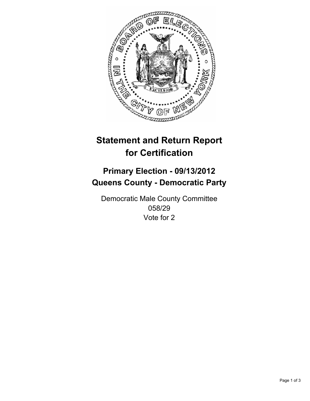

# **Statement and Return Report for Certification**

## **Primary Election - 09/13/2012 Queens County - Democratic Party**

Democratic Male County Committee 058/29 Vote for 2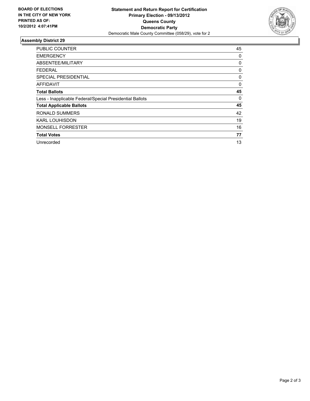

### **Assembly District 29**

| <b>PUBLIC COUNTER</b>                                    | 45 |
|----------------------------------------------------------|----|
| <b>EMERGENCY</b>                                         | 0  |
| ABSENTEE/MILITARY                                        | 0  |
| FEDERAL                                                  | 0  |
| <b>SPECIAL PRESIDENTIAL</b>                              | 0  |
| AFFIDAVIT                                                | 0  |
| <b>Total Ballots</b>                                     | 45 |
| Less - Inapplicable Federal/Special Presidential Ballots | 0  |
| <b>Total Applicable Ballots</b>                          | 45 |
| <b>RONALD SUMMERS</b>                                    | 42 |
| <b>KARL LOUHISDON</b>                                    | 19 |
| <b>MONSELL FORRESTER</b>                                 | 16 |
| <b>Total Votes</b>                                       | 77 |
| Unrecorded                                               | 13 |